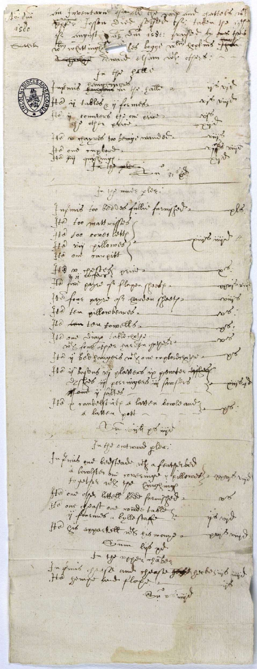m Innontarin spank Toppe to taken po if Ao di  $is00$ Substity to offer the mand office who offert: fr fr gall DOCES futures compliments for father as yonie sito pingo Afta in tables & informés rote & the no ofayroot too being i named our  $\sim$ topics office the fight one of  $3100 +$ for you must plus. Infirmed too bod to fulln' farmiffer 2 pl3 He too matterplot He too conce little of lyin dring. Ho vive pillonoso? ens. His m topics prints The first pages of plagen flesh Arix queba 140 four payer of conven fortes sings  $20 - 6$ . He ten pillonbeauds.  $e^{\gamma\delta}$ . Ho ten ton forwalls. He saw Irong fable recipi  $20 - 16$ on's font ofper far for popose. **Ple** Hy A peg townshots to Rom interests to for-He is baylond ni plassions in pomotos siffer Cinjo4) IId a rambittitée a latten sous le ames  $P\sigma$ . the south go min fulfs systemand plox. Infinite out bastisant ut a fantarber Sta ond offer Ettelt 8000 fingen  $\sim 10$ one d'east one romde table typer dige He gib superlett with gib mongs lima dans Dam lips que fully regarder the In June 200 fle and spape soft goods sigt und Win o a nel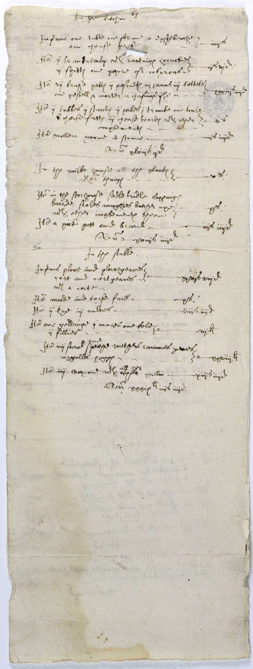3. you bitegin 08 fujimé oue table ou preme a syfeteure ingto He j'se infroad not Easting country in Brit. is flight and sayer of reference He sig beage potte i populate in cannoni tottales coentains the y tubbes y Annie y palos; temmés ou benle - Huemalgun Hd molliere varme et formé. tymi dyn as in cloud in fu ty milke gongs all ge plantes  $\frac{8}{3}$ His in 190 por couple photo bille stregnige  $p^{\chi}$ . Hida pirot pott and beaut hija din An 2 point min futor Aublo. fordand plows and plouse sames l jua diavo  $mll$  a rocker ers.<br>- limbing & Ho moods and traps fritt-Her i kgo in ralser Hid one yournight i maws on told ? rojte Jes nig pour friege metges commes peuve

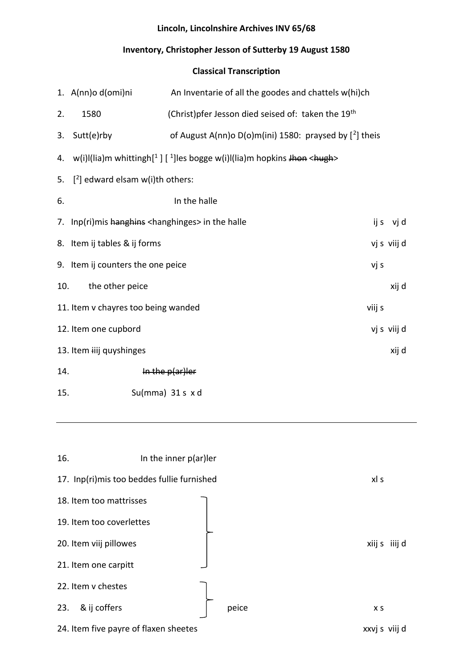### **Lincoln, Lincolnshire Archives INV 65/68**

### **Inventory, Christopher Jesson of Sutterby 19 August 1580**

### **Classical Transcription**

|     | 1. A(nn)o d(omi)ni                                            | An Inventarie of all the goodes and chattels w(hi)ch                             |        |             |
|-----|---------------------------------------------------------------|----------------------------------------------------------------------------------|--------|-------------|
| 2.  | 1580                                                          | (Christ) pfer Jesson died seised of: taken the 19 <sup>th</sup>                  |        |             |
| 3.  | Sutt(e)rby                                                    | of August A(nn)o D(o)m(ini) 1580: praysed by $[2]$ theis                         |        |             |
|     |                                                               | 4. w(i)I(lia)m whittingh[1] [1] les bogge w(i)I(lia)m hopkins Jhon <hugh></hugh> |        |             |
| 5.  | $[2]$ edward elsam w(i)th others:                             |                                                                                  |        |             |
| 6.  |                                                               | In the halle                                                                     |        |             |
|     | 7. Inp(ri)mis hanghing <hanghinges> in the halle</hanghinges> |                                                                                  |        | ijs vjd     |
|     | 8. Item ij tables & ij forms                                  |                                                                                  |        | vj s viij d |
|     | 9. Item ij counters the one peice                             |                                                                                  | vj s   |             |
| 10. | the other peice                                               |                                                                                  |        | xij d       |
|     | 11. Item v chayres too being wanded                           |                                                                                  | viij s |             |
|     | 12. Item one cupbord                                          |                                                                                  |        | vj s viij d |
|     | 13. Item iiij quyshinges                                      |                                                                                  |        | xij d       |
| 14. |                                                               | In the $p(a r)$ ler                                                              |        |             |
| 15. |                                                               | Su(mma) $31 s$ x d                                                               |        |             |



24. Item five payre of flaxen sheetes **xxvj** s viij d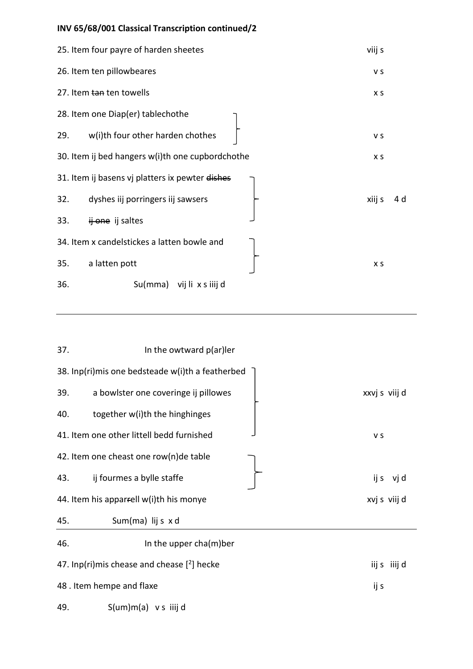# **INV 65/68/001 Classical Transcription continued/2**

|     | 25. Item four payre of harden sheetes            | viij s |     |
|-----|--------------------------------------------------|--------|-----|
|     | 26. Item ten pillowbeares                        | V S    |     |
|     | 27. Item tan ten towells                         | X S    |     |
|     | 28. Item one Diap(er) tablechothe                |        |     |
| 29. | w(i)th four other harden chothes                 | V S    |     |
|     | 30. Item ij bed hangers w(i)th one cupbordchothe | X S    |     |
|     | 31. Item ij basens vj platters ix pewter dishes  |        |     |
| 32. | dyshes iij porringers iij sawsers                | xiij s | 4 d |
| 33. | ij one ij saltes                                 |        |     |
|     | 34. Item x candelstickes a latten bowle and      |        |     |
| 35. | a latten pott                                    | X S    |     |
| 36. | Su(mma) vij li x s iiij d                        |        |     |

| 37. | In the owtward p(ar)ler                          |               |
|-----|--------------------------------------------------|---------------|
|     | 38. Inp(ri)mis one bedsteade w(i)th a featherbed |               |
| 39. | a bowlster one coveringe ij pillowes             | xxvj s viij d |
| 40. | together w(i)th the hinghinges                   |               |
|     | 41. Item one other littell bedd furnished        | V S           |
|     | 42. Item one cheast one row(n)de table           |               |
| 43. | ij fourmes a bylle staffe                        | ijs vjd       |
|     | 44. Item his apparrell w(i)th his monye          | xvj s viij d  |
| 45. | Sum(ma) lij s x d                                |               |
| 46. | In the upper cha(m)ber                           |               |
|     | 47. Inp(ri)mis chease and chease $[2]$ hecke     | iijs iiijd    |
|     | 48. Item hempe and flaxe                         | ij s          |
| 49. | $S(um)m(a)$ vs iiij d                            |               |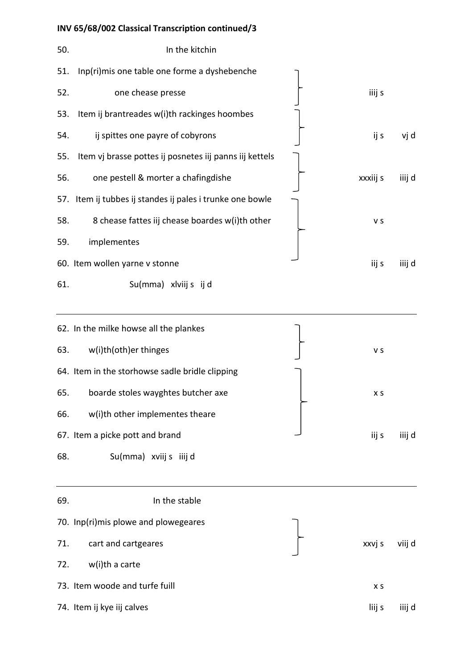# **INV 65/68/002 Classical Transcription continued/3**

| 50. | In the kitchin                                            |          |        |
|-----|-----------------------------------------------------------|----------|--------|
| 51. | Inp(ri)mis one table one forme a dyshebenche              |          |        |
| 52. | one chease presse                                         | iiij s   |        |
| 53. | Item ij brantreades w(i)th rackinges hoombes              |          |        |
| 54. | ij spittes one payre of cobyrons                          | ij s     | vj d   |
| 55. | Item vj brasse pottes ij posnetes iij panns iij kettels   |          |        |
| 56. | one pestell & morter a chafingdishe                       | xxxiij s | iiij d |
|     | 57. Item ij tubbes ij standes ij pales i trunke one bowle |          |        |
| 58. | 8 chease fattes iij chease boardes w(i)th other           | V S      |        |
| 59. | implementes                                               |          |        |
|     | 60. Item wollen yarne v stonne                            | iij s    | iiij d |
| 61. | Su(mma) xlviij s ij d                                     |          |        |
|     |                                                           |          |        |

|     | 62. In the milke howse all the plankes          |        |        |
|-----|-------------------------------------------------|--------|--------|
| 63. | w(i)th(oth)er thinges                           | v s    |        |
|     | 64. Item in the storhowse sadle bridle clipping |        |        |
| 65. | boarde stoles wayghtes butcher axe              | X S    |        |
| 66. | w(i)th other implementes theare                 |        |        |
|     | 67. Item a picke pott and brand                 | iij s  | iiij d |
| 68. | Su(mma) xviij s iiij d                          |        |        |
|     |                                                 |        |        |
| 69. | In the stable                                   |        |        |
|     | 70. Inp(ri)mis plowe and plowegeares            |        |        |
| 71. | cart and cartgeares                             | xxvj s | viij d |
|     |                                                 |        |        |
| 72. | w(i)th a carte                                  |        |        |
|     | 73. Item woode and turfe fuill                  | X S    |        |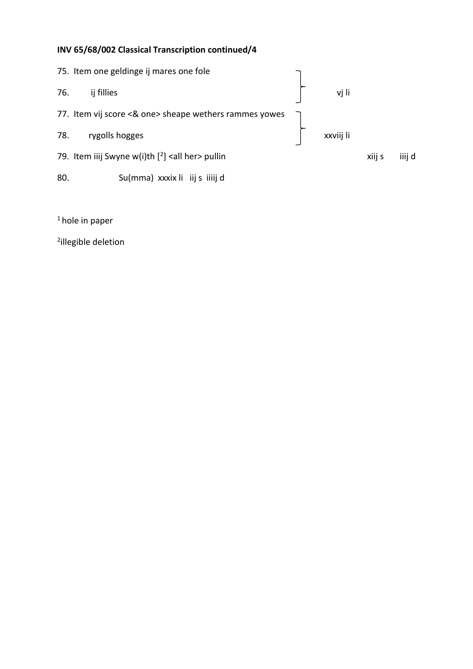### **INV 65/68/002 Classical Transcription continued/4**



 $1$  hole in paper

2 illegible deletion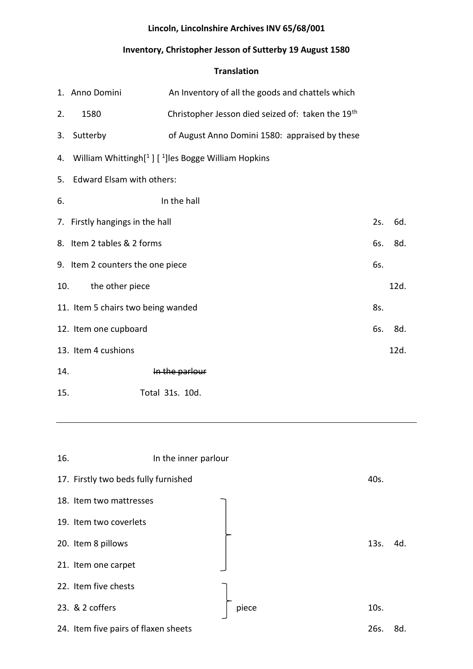### **Lincoln, Lincolnshire Archives INV 65/68/001**

#### **Inventory, Christopher Jesson of Sutterby 19 August 1580**

#### **Translation**

|     | 1. Anno Domini                     | An Inventory of all the goods and chattels which                                |     |      |
|-----|------------------------------------|---------------------------------------------------------------------------------|-----|------|
| 2.  | 1580                               | Christopher Jesson died seized of: taken the 19 <sup>th</sup>                   |     |      |
| 3.  | Sutterby                           | of August Anno Domini 1580: appraised by these                                  |     |      |
|     |                                    | 4. William Whittingh <sup>[1</sup> ] [ <sup>1</sup> ] les Bogge William Hopkins |     |      |
|     | 5. Edward Elsam with others:       |                                                                                 |     |      |
| 6.  |                                    | In the hall                                                                     |     |      |
|     | 7. Firstly hangings in the hall    |                                                                                 | 2s. | 6d.  |
|     | 8. Item 2 tables & 2 forms         |                                                                                 | 6s. | 8d.  |
|     | 9. Item 2 counters the one piece   |                                                                                 | 6s. |      |
| 10. | the other piece                    |                                                                                 |     | 12d. |
|     | 11. Item 5 chairs two being wanded |                                                                                 | 8s. |      |
|     | 12. Item one cupboard              |                                                                                 | 6s. | 8d.  |
|     | 13. Item 4 cushions                |                                                                                 |     | 12d. |
| 14. |                                    | In the parlour                                                                  |     |      |
| 15. |                                    | Total 31s. 10d.                                                                 |     |      |

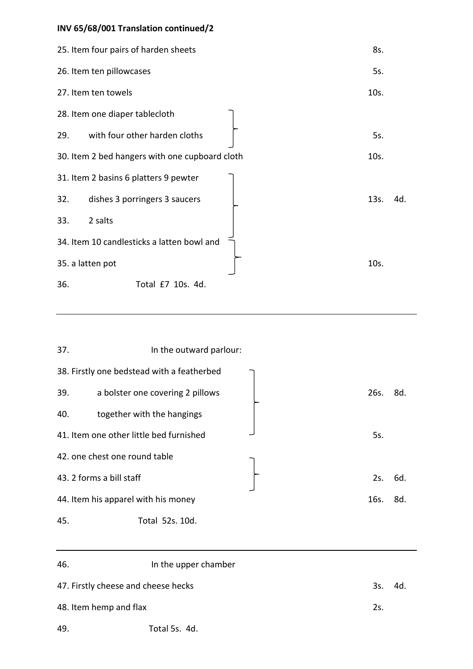# **INV 65/68/001 Translation continued/2**

| 25. Item four pairs of harden sheets           | 8s.  |     |
|------------------------------------------------|------|-----|
| 26. Item ten pillowcases                       | 5s.  |     |
| 27. Item ten towels                            | 10s. |     |
| 28. Item one diaper tablecloth                 |      |     |
| with four other harden cloths<br>29.           | 5s.  |     |
| 30. Item 2 bed hangers with one cupboard cloth | 10s. |     |
| 31. Item 2 basins 6 platters 9 pewter          |      |     |
| 32.<br>dishes 3 porringers 3 saucers           | 13s. | 4d. |
| 33.<br>2 salts                                 |      |     |
| 34. Item 10 candlesticks a latten bowl and     |      |     |
| 35. a latten pot                               | 10s. |     |
| 36.<br>Total £7 10s. 4d.                       |      |     |

| 37. | In the outward parlour:                    |      |     |
|-----|--------------------------------------------|------|-----|
|     | 38. Firstly one bedstead with a featherbed |      |     |
| 39. | a bolster one covering 2 pillows           | 26s. | 8d. |
| 40. | together with the hangings                 |      |     |
|     | 41. Item one other little bed furnished    | 5s.  |     |
|     | 42. one chest one round table              |      |     |
|     | 43. 2 forms a bill staff                   | 2s.  | 6d. |
|     | 44. Item his apparel with his money        | 16s. | 8d. |
| 45. | Total 52s. 10d.                            |      |     |

| 46.                                 | In the upper chamber |     |      |
|-------------------------------------|----------------------|-----|------|
| 47. Firstly cheese and cheese hecks |                      | 3s. | -4d. |
| 48. Item hemp and flax              |                      | 2s. |      |
| 49.                                 | Total 5s. 4d.        |     |      |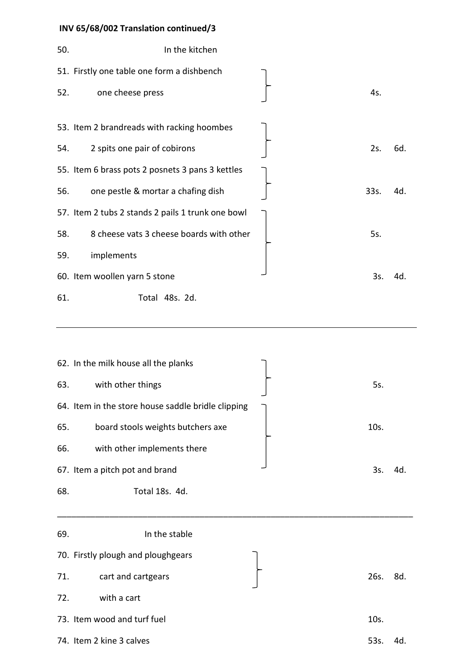# **INV 65/68/002 Translation continued/3**

| 50. | In the kitchen                                    |      |     |
|-----|---------------------------------------------------|------|-----|
|     | 51. Firstly one table one form a dishbench        |      |     |
| 52. | one cheese press                                  | 4s.  |     |
|     | 53. Item 2 brandreads with racking hoombes        |      |     |
| 54. | 2 spits one pair of cobirons                      | 2s.  | 6d. |
|     | 55. Item 6 brass pots 2 posnets 3 pans 3 kettles  |      |     |
| 56. | one pestle & mortar a chafing dish                | 33s. | 4d. |
|     | 57. Item 2 tubs 2 stands 2 pails 1 trunk one bowl |      |     |
| 58. | 8 cheese vats 3 cheese boards with other          | 5s.  |     |
| 59. | implements                                        |      |     |
|     | 60. Item woollen yarn 5 stone                     | 3s.  | 4d. |
| 61. | Total 48s. 2d.                                    |      |     |

|     | 62. In the milk house all the planks               |      |     |
|-----|----------------------------------------------------|------|-----|
| 63. | with other things                                  | 5s.  |     |
|     | 64. Item in the store house saddle bridle clipping |      |     |
| 65. | board stools weights butchers axe                  | 10s. |     |
| 66. | with other implements there                        |      |     |
|     | 67. Item a pitch pot and brand                     | 3s.  | 4d. |
| 68. | Total 18s. 4d.                                     |      |     |
|     |                                                    |      |     |

| 69. | In the stable                      |      |     |
|-----|------------------------------------|------|-----|
|     | 70. Firstly plough and ploughgears |      |     |
| 71. | cart and cartgears                 | 26s. | 8d. |
| 72. | with a cart                        |      |     |
|     | 73. Item wood and turf fuel        | 10s. |     |
|     | 74. Item 2 kine 3 calves           | 53s. | 4d. |
|     |                                    |      |     |